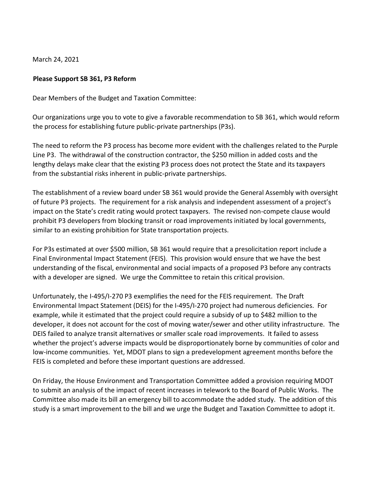March 24, 2021

## **Please Support SB 361, P3 Reform**

Dear Members of the Budget and Taxation Committee:

Our organizations urge you to vote to give a favorable recommendation to SB 361, which would reform the process for establishing future public-private partnerships (P3s).

The need to reform the P3 process has become more evident with the challenges related to the Purple Line P3. The withdrawal of the construction contractor, the \$250 million in added costs and the lengthy delays make clear that the existing P3 process does not protect the State and its taxpayers from the substantial risks inherent in public-private partnerships.

The establishment of a review board under SB 361 would provide the General Assembly with oversight of future P3 projects. The requirement for a risk analysis and independent assessment of a project's impact on the State's credit rating would protect taxpayers. The revised non-compete clause would prohibit P3 developers from blocking transit or road improvements initiated by local governments, similar to an existing prohibition for State transportation projects.

For P3s estimated at over \$500 million, SB 361 would require that a presolicitation report include a Final Environmental Impact Statement (FEIS). This provision would ensure that we have the best understanding of the fiscal, environmental and social impacts of a proposed P3 before any contracts with a developer are signed. We urge the Committee to retain this critical provision.

Unfortunately, the I-495/I-270 P3 exemplifies the need for the FEIS requirement. The Draft Environmental Impact Statement (DEIS) for the I-495/I-270 project had numerous deficiencies. For example, while it estimated that the project could require a subsidy of up to \$482 million to the developer, it does not account for the cost of moving water/sewer and other utility infrastructure. The DEIS failed to analyze transit alternatives or smaller scale road improvements. It failed to assess whether the project's adverse impacts would be disproportionately borne by communities of color and low-income communities. Yet, MDOT plans to sign a predevelopment agreement months before the FEIS is completed and before these important questions are addressed.

On Friday, the House Environment and Transportation Committee added a provision requiring MDOT to submit an analysis of the impact of recent increases in telework to the Board of Public Works. The Committee also made its bill an emergency bill to accommodate the added study. The addition of this study is a smart improvement to the bill and we urge the Budget and Taxation Committee to adopt it.